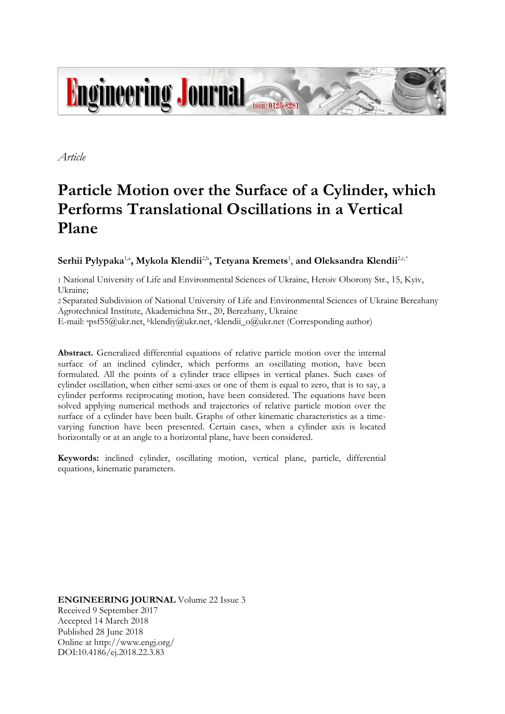

*Article*

# **Particle Motion over the Surface of a Cylinder, which Performs Translational Oscillations in a Vertical Plane**

# $\mathbf{S}$ erhii  $\mathbf{P}$ ylypaka $^{1, \text{a}}, \mathbf{M}$ ykola Klendii $^{2, \text{b}}, \mathbf{T}$ etyana Kremets $^{1}, \text{and } \mathbf{O}$ leksandra Klendii $^{2, \text{c}, \text{*}}$

1 National University of Life and Environmental Sciences of Ukraine, Heroiv Oborony Str., 15, Kyiv, Ukraine;

2 Separated Subdivision of National University of Life and Environmental Sciences of Ukraine Berezhany Agrotechnical Institute, Akademichna Str., 20, Berezhany, Ukraine

E-mail: <sup>a</sup>psf55@ukr.net, <sup>b</sup>klendiy@ukr.net, <sup>c</sup>klendii\_o@ukr.net (Corresponding author)

**Abstract.** Generalized differential equations of relative particle motion over the internal surface of an inclined cylinder, which performs an oscillating motion, have been formulated. All the points of a cylinder trace ellipses in vertical planes. Such cases of cylinder oscillation, when either semi-axes or one of them is equal to zero, that is to say, a cylinder performs reciprocating motion, have been considered. The equations have been solved applying numerical methods and trajectories of relative particle motion over the surface of a cylinder have been built. Graphs of other kinematic characteristics as a timevarying function have been presented. Certain cases, when a cylinder axis is located horizontally or at an angle to a horizontal plane, have been considered.

**Keywords:** inclined cylinder, oscillating motion, vertical plane, particle, differential equations, kinematic parameters.

**ENGINEERING JOURNAL** Volume 22 Issue 3 Received 9 September 2017 Accepted 14 March 2018 Published 28 June 2018 Online at http://www.engj.org/ DOI:10.4186/ej.2018.22.3.83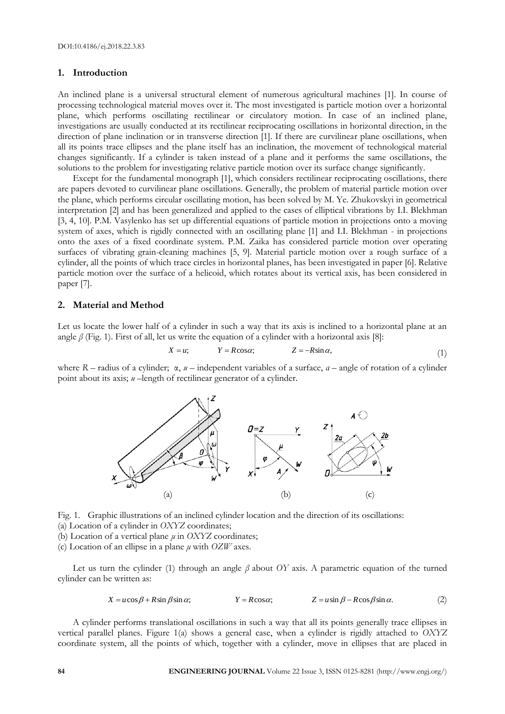# **1. Introduction**

An inclined plane is a universal structural element of numerous agricultural machines [1]. In course of processing technological material moves over it. The most investigated is particle motion over a horizontal plane, which performs oscillating rectilinear or circulatory motion. In case of an inclined plane, investigations are usually conducted at its rectilinear reciprocating oscillations in horizontal direction, in the direction of plane inclination or in transverse direction [1]. If there are curvilinear plane oscillations, when all its points trace ellipses and the plane itself has an inclination, the movement of technological material changes significantly. If a cylinder is taken instead of a plane and it performs the same oscillations, the solutions to the problem for investigating relative particle motion over its surface change significantly.

Except for the fundamental monograph [1], which considers rectilinear reciprocating oscillations, there are papers devoted to curvilinear plane oscillations. Generally, the problem of material particle motion over the plane, which performs circular oscillating motion, has been solved by M. Ye. Zhukovskyi in geometrical interpretation [2] and has been generalized and applied to the cases of elliptical vibrations by I.I. Blekhman [3, 4, 10]. P.M. Vasylenko has set up differential equations of particle motion in projections onto a moving system of axes, which is rigidly connected with an oscillating plane [1] and I.I. Blekhman - in projections onto the axes of a fixed coordinate system. P.M. Zaika has considered particle motion over operating surfaces of vibrating grain-cleaning machines [5, 9]. Material particle motion over a rough surface of a cylinder, all the points of which trace circles in horizontal planes, has been investigated in paper [6]. Relative particle motion over the surface of a helicoid, which rotates about its vertical axis, has been considered in paper [7].

#### **2. Material and Method**

Let us locate the lower half of a cylinder in such a way that its axis is inclined to a horizontal plane at an angle  $\beta$  (Fig. 1). First of all, let us write the equation of a cylinder with a horizontal axis [8]:

$$
X = u; \t Y = R\cos\alpha; \t Z = -R\sin\alpha,
$$
\t(1)

where *R* – radius of a cylinder; α, *u* – independent variables of a surface, *α* – angle of rotation of a cylinder point about its axis; *u* –length of rectilinear generator of a cylinder.



Fig. 1. Graphic illustrations of an inclined cylinder location and the direction of its oscillations:

(а) Location of a cylinder in *OXYZ* coordinates;

(b) Location of a vertical plane *μ* in *OXYZ* coordinates;

(c) Location of an ellipse in a plane *μ* with *OZW* axes.

Let us turn the cylinder (1) through an angle *β* about *OY* axis. A parametric equation of the turned cylinder can be written as:

$$
X = u\cos\beta + R\sin\beta\sin\alpha; \qquad Y = R\cos\alpha; \qquad Z = u\sin\beta - R\cos\beta\sin\alpha. \tag{2}
$$

A cylinder performs translational oscillations in such a way that all its points generally trace ellipses in vertical parallel planes. Figure 1(a) shows a general case, when a cylinder is rigidly attached to *OXYZ*  coordinate system, all the points of which, together with a cylinder, move in ellipses that are placed in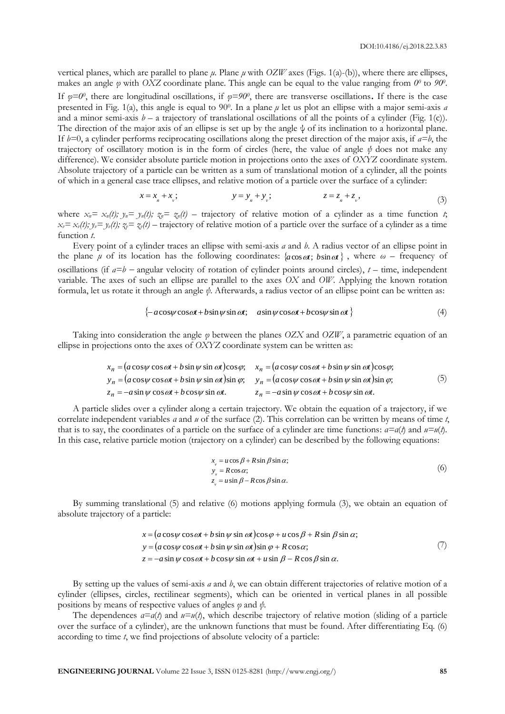vertical planes, which are parallel to plane *μ*. Plane *μ* with *OZW* axes (Figs. 1(а)-(b)), where there are ellipses, makes an angle *φ* with *OXZ* coordinate plane. This angle can be equal to the value ranging from *0<sup>0</sup>* to *90<sup>0</sup>* . If  $\varphi = 0^0$ , there are longitudinal oscillations, if  $\varphi = 90^0$ , there are transverse oscillations. If there is the case presented in Fig. 1(a), this angle is equal to 90<sup>0</sup>. In a plane *μ* let us plot an ellipse with a major semi-axis *a* and a minor semi-axis  $b - a$  trajectory of translational oscillations of all the points of a cylinder (Fig. 1(c)). The direction of the major axis of an ellipse is set up by the angle  $\psi$  of its inclination to a horizontal plane. If  $b=0$ , a cylinder performs reciprocating oscillations along the preset direction of the major axis, if  $a=b$ , the trajectory of oscillatory motion is in the form of circles (here, the value of angle *ψ* does not make any difference). We consider absolute particle motion in projections onto the axes of *OXYZ* coordinate system. Absolute trajectory of a particle can be written as a sum of translational motion of a cylinder, all the points of which in a general case trace ellipses, and relative motion of a particle over the surface of a cylinder:

$$
x = x_n + x_v; \t y = y_n + y_v; \t z = z_n + z_v,
$$
 (3)

where  $x_n = x_n(t)$ ;  $y_n = y_n(t)$ ;  $z_n = z_n(t)$  – trajectory of relative motion of a cylinder as a time function *t*;  $x_v = x_v(t)$ ;  $y_v = y_v(t)$ ;  $z_v = z_v(t)$  – trajectory of relative motion of a particle over the surface of a cylinder as a time function *t*.

Every point of a cylinder traces an ellipse with semi-axis *а* and *b*. A radius vector of an ellipse point in the plane  $\mu$  of its location has the following coordinates:  $\{a\cos\omega t, b\sin\omega t\}$ , where  $\omega$  – frequency of oscillations (if  $a=b$  – angular velocity of rotation of cylinder points around circles),  $t$  – time, independent variable. The axes of such an ellipse are parallel to the axes *OX* and *OW*. Applying the known rotation formula, let us rotate it through an angle *ψ*. Afterwards, a radius vector of an ellipse point can be written as:

$$
\{-a\cos\psi\cos\omega t + b\sin\psi\sin\omega t; a\sin\psi\cos\omega t + b\cos\psi\sin\omega t\}
$$
 (4)

Taking into consideration the angle *φ* between the planes *OZX* and *OZW*, a parametric equation of an ellipse in projections onto the axes of *OXYZ* coordinate system can be written as:

$$
x_n = (a\cos\psi\cos\omega t + b\sin\psi\sin\omega t)\cos\varphi; \quad x_n = (a\cos\psi\cos\omega t + b\sin\psi\sin\omega t)\cos\varphi; \ny_n = (a\cos\psi\cos\omega t + b\sin\psi\sin\omega t)\sin\varphi; \quad y_n = (a\cos\psi\cos\omega t + b\sin\psi\sin\omega t)\sin\varphi; \nz_n = -a\sin\psi\cos\omega t + b\cos\psi\sin\omega t. \quad z_n = -a\sin\psi\cos\omega t + b\cos\psi\sin\omega t.
$$
\n(5)

A particle slides over a cylinder along a certain trajectory. We obtain the equation of a trajectory, if we correlate independent variables *α* and *u* of the surface (2). This correlation can be written by means of time *t*, that is to say, the coordinates of a particle on the surface of a cylinder are time functions:  $a = a(t)$  and  $u = u(t)$ . In this case, relative particle motion (trajectory on a cylinder) can be described by the following equations:

$$
x_{v} = u \cos \beta + R \sin \beta \sin \alpha;
$$
  
\n
$$
y_{v} = R \cos \alpha;
$$
  
\n
$$
z_{v} = u \sin \beta - R \cos \beta \sin \alpha.
$$
  
\n(6)

By summing translational (5) and relative (6) motions applying formula (3), we obtain an equation of absolute trajectory of a particle:

$$
x = (a \cos \psi \cos \omega t + b \sin \psi \sin \omega t) \cos \varphi + u \cos \beta + R \sin \beta \sin \alpha;
$$
  
\n
$$
y = (a \cos \psi \cos \omega t + b \sin \psi \sin \omega t) \sin \varphi + R \cos \alpha;
$$
  
\n
$$
z = -a \sin \psi \cos \omega t + b \cos \psi \sin \omega t + u \sin \beta - R \cos \beta \sin \alpha.
$$
 (7)

By setting up the values of semi-axis *а* and *b*, we can obtain different trajectories of relative motion of a cylinder (ellipses, circles, rectilinear segments), which can be oriented in vertical planes in all possible positions by means of respective values of angles *φ* and *ψ*.

The dependences  $a=a(t)$  and  $u=\mu(t)$ , which describe trajectory of relative motion (sliding of a particle over the surface of a cylinder), are the unknown functions that must be found. After differentiating Eq. (6) according to time *t*, we find projections of absolute velocity of a particle: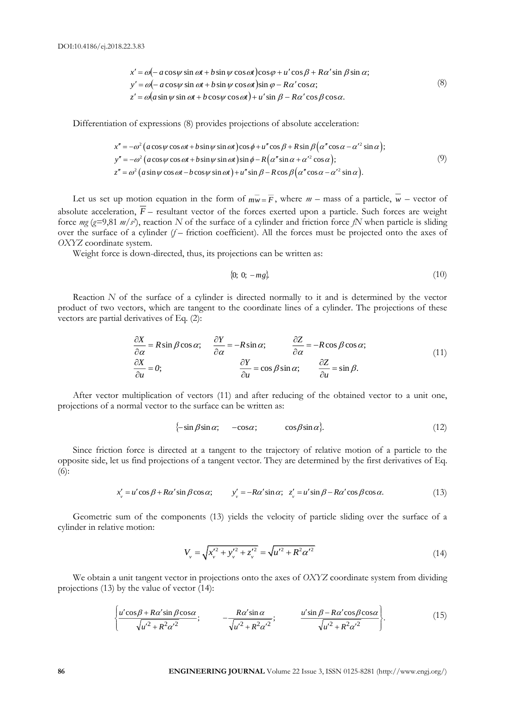$$
x' = \omega(-a\cos\psi\sin\omega t + b\sin\psi\cos\omega t)\cos\varphi + u'\cos\beta + R\alpha'\sin\beta\sin\alpha;
$$
  
\n
$$
y' = \omega(-a\cos\psi\sin\omega t + b\sin\psi\cos\omega t)\sin\varphi - R\alpha'\cos\alpha;
$$
  
\n
$$
z' = \omega(a\sin\psi\sin\omega t + b\cos\psi\cos\omega t) + u'\sin\beta - R\alpha'\cos\beta\cos\alpha.
$$
 (8)

Differentiation of expressions (8) provides projections of absolute acceleration:

$$
x'' = -\omega^2 (a\cos\psi\cos\omega t + b\sin\psi\sin\omega t)\cos\phi + u''\cos\beta + R\sin\beta(\alpha''\cos\alpha - \alpha'^2\sin\alpha);
$$
  
\n
$$
y'' = -\omega^2 (a\cos\psi\cos\omega t + b\sin\psi\sin\omega t)\sin\phi - R(\alpha''\sin\alpha + \alpha'^2\cos\alpha);
$$
  
\n
$$
z'' = \omega^2 (a\sin\psi\cos\omega t - b\cos\psi\sin\omega t) + u''\sin\beta - R\cos\beta(\alpha''\cos\alpha - \alpha'^2\sin\alpha).
$$
\n(9)

Let us set up motion equation in the form of  $\overline{mw} = \overline{F}$ , where  $m$  – mass of a particle,  $w$  – vector of absolute acceleration,  $\overline{F}$  – resultant vector of the forces exerted upon a particle. Such forces are weight force *mg* (*g=*9,81 *m/s 2* ), reaction *N* of the surface of a cylinder and friction force *fN* when particle is sliding over the surface of a cylinder  $(f -$  friction coefficient). All the forces must be projected onto the axes of *OXYZ* coordinate system.

Weight force is down-directed, thus, its projections can be written as:

$$
\{0; 0; -mg\}.
$$
 (10)

Reaction *N* of the surface of a cylinder is directed normally to it and is determined by the vector product of two vectors, which are tangent to the coordinate lines of a cylinder. The projections of these vectors are partial derivatives of Eq. (2):

$$
\frac{\partial X}{\partial \alpha} = R \sin \beta \cos \alpha; \qquad \frac{\partial Y}{\partial \alpha} = -R \sin \alpha; \qquad \frac{\partial Z}{\partial \alpha} = -R \cos \beta \cos \alpha; \n\frac{\partial X}{\partial u} = 0; \qquad \frac{\partial Y}{\partial u} = \cos \beta \sin \alpha; \qquad \frac{\partial Z}{\partial u} = \sin \beta.
$$
\n(11)

After vector multiplication of vectors (11) and after reducing of the obtained vector to a unit one, projections of a normal vector to the surface can be written as:

$$
\{-\sin\beta\sin\alpha; \quad -\cos\alpha; \quad \cos\beta\sin\alpha\}.
$$
 (12)

Since friction force is directed at a tangent to the trajectory of relative motion of a particle to the opposite side, let us find projections of a tangent vector. They are determined by the first derivatives of Eq. (6):

$$
x'_{v} = u' \cos \beta + R\alpha' \sin \beta \cos \alpha; \qquad y'_{v} = -R\alpha' \sin \alpha; \quad z'_{v} = u' \sin \beta - R\alpha' \cos \beta \cos \alpha. \tag{13}
$$

Geometric sum of the components (13) yields the velocity of particle sliding over the surface of a cylinder in relative motion:

$$
V_{\nu} = \sqrt{x_{\nu}^{\prime 2} + y_{\nu}^{\prime 2} + z_{\nu}^{\prime 2}} = \sqrt{u^{\prime 2} + R^2 {\alpha^{\prime 2}}} \tag{14}
$$

We obtain a unit tangent vector in projections onto the axes of *OXYZ* coordinate system from dividing projections (13) by the value of vector (14):

$$
\left\{\frac{u'\cos\beta + R\alpha'\sin\beta\cos\alpha}{\sqrt{u'^2 + R^2\alpha'^2}};\qquad -\frac{R\alpha'\sin\alpha}{\sqrt{u'^2 + R^2\alpha'^2}};\qquad \frac{u'\sin\beta - R\alpha'\cos\beta\cos\alpha}{\sqrt{u'^2 + R^2\alpha'^2}}\right\}.
$$
(15)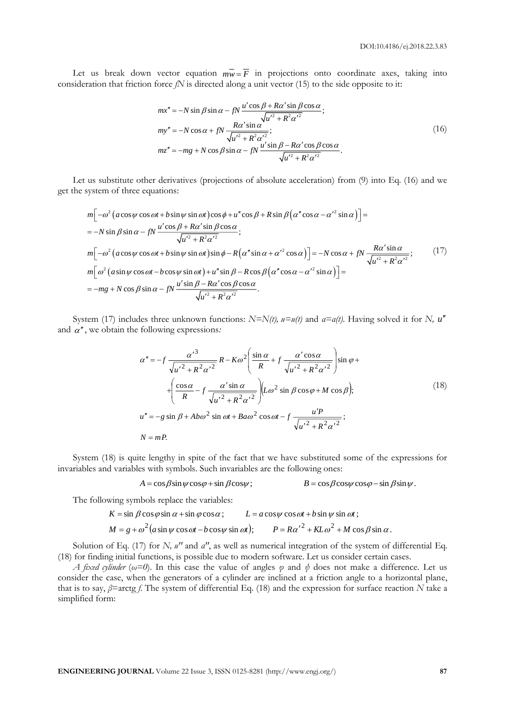Let us break down vector equation  $\overline{mw} = \overline{F}$  in projections onto coordinate axes, taking into consideration that friction force *fN* is directed along a unit vector (15) to the side opposite to it:

$$
mx'' = -N \sin \beta \sin \alpha - fN \frac{u' \cos \beta + R\alpha' \sin \beta \cos \alpha}{\sqrt{u'^2 + R^2 \alpha'^2}};
$$
  
\n
$$
my'' = -N \cos \alpha + fN \frac{R\alpha' \sin \alpha}{\sqrt{u'^2 + R^2 \alpha'^2}};
$$
  
\n
$$
mz'' = -mg + N \cos \beta \sin \alpha - fN \frac{u' \sin \beta - R\alpha' \cos \beta \cos \alpha}{\sqrt{u'^2 + R^2 \alpha'^2}}.
$$
\n(16)

Let us substitute other derivatives (projections of absolute acceleration) from (9) into Eq. (16) and we get the system of three equations:

$$
m[-\omega^{2} (a\cos\psi\cos\omega t + b\sin\psi\sin\omega t)\cos\phi + u''\cos\beta + R\sin\beta(\alpha''\cos\alpha - {\alpha'}^{2}\sin\alpha)] =
$$
  
= -N sin  $\beta \sin \alpha - fN \frac{u'\cos\beta + R\alpha'\sin\beta\cos\alpha}{\sqrt{u'^{2} + R^{2}\alpha'^{2}}};$   

$$
m[-\omega^{2} (a\cos\psi\cos\omega t + b\sin\psi\sin\omega t)\sin\phi - R(\alpha''\sin\alpha + {\alpha'}^{2}\cos\alpha)] = -N\cos\alpha + fN \frac{R\alpha'\sin\alpha}{\sqrt{u'^{2} + R^{2}\alpha'^{2}}};
$$
(17)  

$$
m[\omega^{2} (a\sin\psi\cos\omega t - b\cos\psi\sin\omega t) + u''\sin\beta - R\cos\beta(\alpha''\cos\alpha - {\alpha'}^{2}\sin\alpha)] =
$$
  
= -mg + N cos  $\beta \sin \alpha - fN \frac{u'\sin\beta - R\alpha'\cos\beta\cos\alpha}{\sqrt{u'^{2} + R^{2}\alpha'^{2}}}.$ 

System (17) includes three unknown functions:  $N=N(t)$ ,  $u=u(t)$  and  $a=a(t)$ . Having solved it for *N*,  $u''$ and  $\alpha$ <sup>"</sup>, we obtain the following expressions.

$$
\alpha'' = -f \frac{\alpha'^3}{\sqrt{u'^2 + R^2 \alpha'^2}} R - K\omega^2 \left( \frac{\sin \alpha}{R} + f \frac{\alpha' \cos \alpha}{\sqrt{u'^2 + R^2 \alpha'^2}} \right) \sin \varphi +
$$
  
+ 
$$
\left( \frac{\cos \alpha}{R} - f \frac{\alpha' \sin \alpha}{\sqrt{u'^2 + R^2 \alpha'^2}} \right) \left( L\omega^2 \sin \beta \cos \varphi + M \cos \beta \right);
$$
  

$$
u'' = -g \sin \beta + Ab\omega^2 \sin \omega t + Ba\omega^2 \cos \omega t - f \frac{u'P}{\sqrt{u'^2 + R^2 \alpha'^2}};
$$
  

$$
N = mP.
$$
 (18)

System (18) is quite lengthy in spite of the fact that we have substituted some of the expressions for invariables and variables with symbols. Such invariables are the following ones:

$$
A = \cos\beta \sin\psi \cos\varphi + \sin\beta \cos\psi;
$$
  

$$
B = \cos\beta \cos\psi \cos\varphi - \sin\beta \sin\psi.
$$

The following symbols replace the variables:

$$
K = \sin \beta \cos \varphi \sin \alpha + \sin \varphi \cos \alpha; \qquad L = a \cos \psi \cos \omega t + b \sin \psi \sin \omega t;
$$
  

$$
M = g + \omega^2 (a \sin \psi \cos \omega t - b \cos \psi \sin \omega t); \qquad P = R \alpha'^2 + KL \omega^2 + M \cos \beta \sin \alpha.
$$

Solution of Eq. (17) for *N, u''* and *a''*, as well as numerical integration of the system of differential Eq. (18) for finding initial functions, is possible due to modern software. Let us consider certain cases.

*A fixed cylinder* ( $\omega=0$ ). In this case the value of angles  $\varphi$  and  $\psi$  does not make a difference. Let us consider the case, when the generators of a cylinder are inclined at a friction angle to a horizontal plane, that is to say, *β*=arctg *f*. The system of differential Eq. (18) and the expression for surface reaction *N* take a simplified form: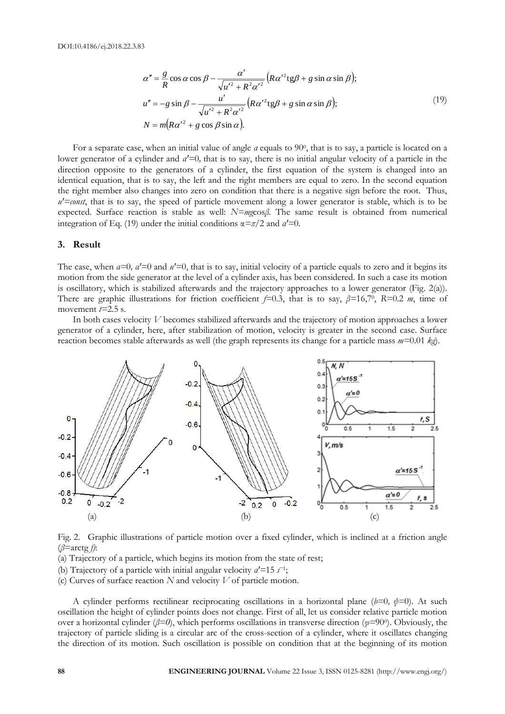$$
\alpha'' = \frac{g}{R} \cos \alpha \cos \beta - \frac{\alpha'}{\sqrt{u'^2 + R^2 \alpha'^2}} \left( R \alpha'^2 \text{tg} \beta + g \sin \alpha \sin \beta \right);
$$
  
\n
$$
u'' = -g \sin \beta - \frac{u'}{\sqrt{u'^2 + R^2 \alpha'^2}} \left( R \alpha'^2 \text{tg} \beta + g \sin \alpha \sin \beta \right);
$$
  
\n
$$
N = m \left( R \alpha'^2 + g \cos \beta \sin \alpha \right).
$$
\n(19)

For a separate case, when an initial value of angle *a* equals to 90<sup>0</sup>, that is to say, a particle is located on a lower generator of a cylinder and *α*<sup> $l$ </sup>=0, that is to say, there is no initial angular velocity of a particle in the direction opposite to the generators of a cylinder, the first equation of the system is changed into an identical equation, that is to say, the left and the right members are equal to zero. In the second equation the right member also changes into zero on condition that there is a negative sign before the root. Thus,  $u' = const$ , that is to say, the speed of particle movement along a lower generator is stable, which is to be expected. Surface reaction is stable as well: *N=mg*cos*β*. The same result is obtained from numerical integration of Eq. (19) under the initial conditions  $\alpha = \pi/2$  and  $a' = 0$ .

## **3. Result**

The case, when  $a=0$ ,  $a'=0$  and  $u'=0$ , that is to say, initial velocity of a particle equals to zero and it begins its motion from the side generator at the level of a cylinder axis, has been considered. In such a case its motion is oscillatory, which is stabilized afterwards and the trajectory approaches to a lower generator (Fig. 2(a)). There are graphic illustrations for friction coefficient *f=*0.3, that is to say, *β=*16,7<sup>0</sup> , *R=*0.2 *m*, time of movement  $t=2.5$  s.

In both cases velocity *V* becomes stabilized afterwards and the trajectory of motion approaches a lower generator of a cylinder, here, after stabilization of motion, velocity is greater in the second case. Surface reaction becomes stable afterwards as well (the graph represents its change for a particle mass *m=*0.01 *kg*).



Fig. 2. Graphiс illustrations of particle motion over a fixed cylinder, which is inclined at a friction angle (*β*=arctg *f)*:

(а) Trajectory of a particle, which begins its motion from the state of rest;

(b) Trajectory of a particle with initial angular velocity  $a' = 15 s^{-1}$ ;

(c) Curves of surface reaction *N* and velocity *V* of particle motion.

A cylinder performs rectilinear reciprocating oscillations in a horizontal plane ( $b=0$ ,  $\psi=0$ ). At such oscillation the height of cylinder points does not change. First of all, let us consider relative particle motion over a horizontal cylinder (*β=0*), which performs oscillations in transverse direction (*φ=*90<sup>0</sup> ). Obviously, the trajectory of particle sliding is a circular arc of the cross-section of a cylinder, where it oscillates changing the direction of its motion. Such oscillation is possible on condition that at the beginning of its motion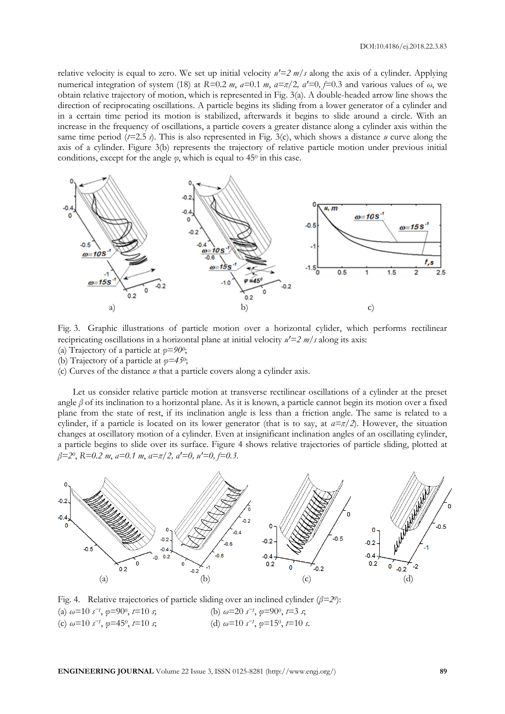relative velocity is equal to zero. We set up initial velocity  $u' = 2 m/s$  along the axis of a cylinder. Applying numerical integration of system (18) at  $R=0.2$  *m*,  $a=0.1$  *m*,  $a=\pi/2$ ,  $a'=0$ ,  $f=0.3$  and various values of  $\omega$ , we obtain relative trajectory of motion, which is represented in Fig. 3(a). A double-headed arrow line shows the direction of reciprocating oscillations. A particle begins its sliding from a lower generator of a cylinder and in a certain time period its motion is stabilized, afterwards it begins to slide around a circle. With an increase in the frequency of oscillations, a particle covers a greater distance along a cylinder axis within the same time period (*t=*2.5 *s*). This is also represented in Fig. 3(c), which shows a distance *u* curve along the axis of a cylinder. Figure 3(b) represents the trajectory of relative particle motion under previous initial conditions, except for the angle  $\varphi$ , which is equal to 45<sup>0</sup> in this case.



Fig. 3. Graphiс illustrations of particle motion over a horizontal cylider, which performs rectilinear recipricating oscillations in a horizontal plane at initial velocity  $u' = 2 m/s$  along its axis:

- (а) Trajectory of a particle at *φ=90<sup>0</sup>* ; (b) Trajectory of a particle at *φ=45<sup>0</sup>* ;
- (c) Curves of the distance *u* that a particle covers along a cylinder axis.

Let us consider relative particle motion at transverse rectilinear oscillations of a cylinder at the preset angle *β* of its inclination to a horizontal plane. As it is known, a particle cannot begin its motion over a fixed plane from the state of rest, if its inclination angle is less than a friction angle. The same is related to a cylinder, if a particle is located on its lower generator (that is to say, at *α=π/2*). However, the situation changes at oscillatory motion of a cylinder. Even at insignificant inclination angles of an oscillating cylinder, a particle begins to slide over its surface. Figure 4 shows relative trajectories of particle sliding, plotted at *β=2<sup>0</sup>* , *R=0.2 m*, *а=0.1 m*, *α=π/2, αꞌ=0, uꞌ=0, f=0.3*.



Fig. 4. Relative trajectories of particle sliding over an inclined cylinder (*β=2<sup>0</sup>* ): (a)  $ω=10 s<sup>-1</sup>$ ,  $φ=90<sup>0</sup>$  $\phi$ , *t*=10 *s*; (b)  $\omega$ =20 *s*<sup>-1</sup>,  $\varphi$ =90<sup>0</sup>, *t*=3 *s*; (c)  $ω=10 s<sup>-1</sup>, φ=45<sup>0</sup>$  $\phi$ ,  $t=10$  *s*; (d)  $\omega=10$  *s*<sup>-1</sup>,  $\varphi=15^{\circ}$ ,  $t=10$  *s*.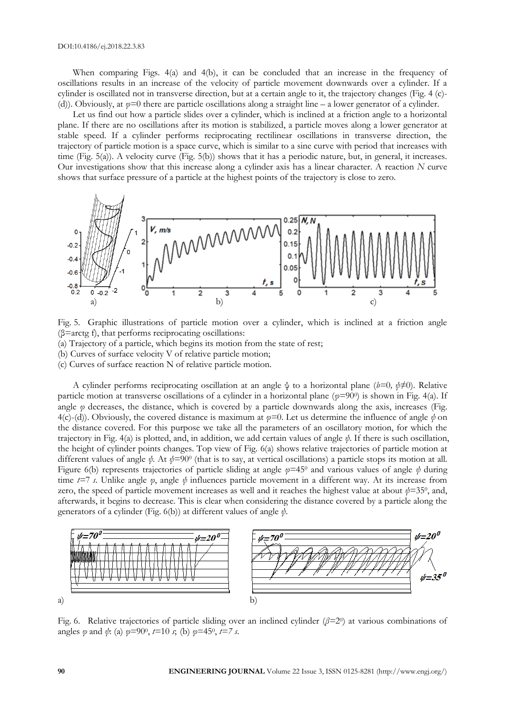When comparing Figs. 4(а) and 4(b), it can be concluded that an increase in the frequency of oscillations results in an increase of the velocity of particle movement downwards over a cylinder. If a cylinder is oscillated not in transverse direction, but at a certain angle to it, the trajectory changes (Fig. 4 (c)- (d)). Obviously, at *φ=*0 there are particle oscillations along a straight line – a lower generator of a cylinder.

Let us find out how a particle slides over a cylinder, which is inclined at a friction angle to a horizontal plane. If there are no oscillations after its motion is stabilized, a particle moves along a lower generator at stable speed. If a cylinder performs reciprocating rectilinear oscillations in transverse direction, the trajectory of particle motion is a space curve, which is similar to a sine curve with period that increases with time (Fig. 5(а)). A velocity curve (Fig. 5(b)) shows that it has a periodic nature, but, in general, it increases. Our investigations show that this increase along a cylinder axis has a linear character. A reaction *N* curve shows that surface pressure of a particle at the highest points of the trajectory is close to zero.



Fig. 5. Graphiс illustrations of particle motion over a cylinder, which is inclined at a friction angle  $(\beta = \arctg f)$ , that performs reciprocating oscillations:

(а) Trajectory of a particle, which begins its motion from the state of rest;

(b) Curves of surface velocity V of relative particle motion;

(c) Curves of surface reaction N of relative particle motion.

A cylinder performs reciprocating oscillation at an angle ψ to a horizontal plane (*b=*0*, ψ≠*0). Relative particle motion at transverse oscillations of a cylinder in a horizontal plane (*φ=*90<sup>0</sup> ) is shown in Fig. 4(a). If angle *φ* decreases, the distance, which is covered by a particle downwards along the axis, increases (Fig. 4(c)-(d)). Obviously, the covered distance is maximum at *φ=*0. Let us determine the influence of angle *ψ* on the distance covered. For this purpose we take all the parameters of an oscillatory motion, for which the trajectory in Fig. 4(a) is plotted, and, in addition, we add certain values of angle *ψ*. If there is such oscillation, the height of cylinder points changes. Top view of Fig. 6(а) shows relative trajectories of particle motion at different values of angle *ψ*. At *ψ=*90<sup>0</sup> (that is to say, at vertical oscillations) a particle stops its motion at all. Figure 6(b) represents trajectories of particle sliding at angle *φ=*45<sup>0</sup> and various values of angle *ψ* during time *t=*7 *s*. Unlike angle *φ*, angle *ψ* influences particle movement in a different way. At its increase from zero, the speed of particle movement increases as well and it reaches the highest value at about  $\psi$ =35<sup>0</sup>, and, afterwards, it begins to decrease. This is clear when considering the distance covered by a particle along the generators of a cylinder (Fig. 6(b)) at different values of angle *ψ*.



Fig. 6. Relative trajectories of particle sliding over an inclined cylinder (*β=*2<sup>0</sup> ) at various combinations of angles *φ* and *ψ*: (а) *φ=*90<sup>0</sup> , *t=*10 *s*; (b) *φ=*45<sup>0</sup> , *t=7 s*.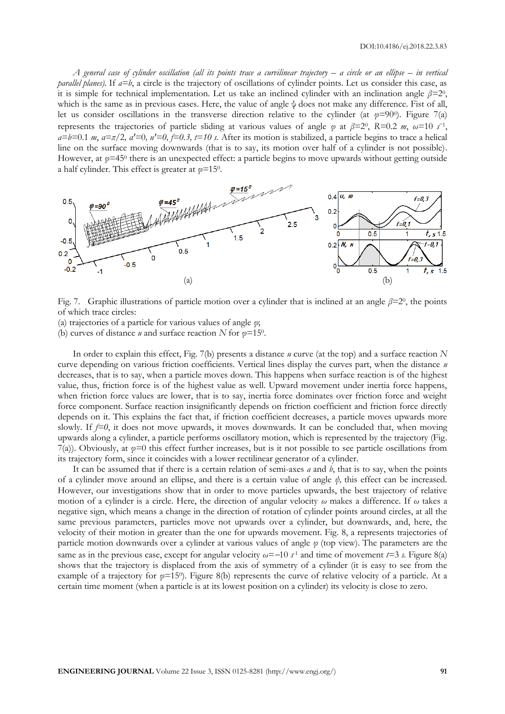*A general case of cylinder oscillation (all its points trace a curvilinear trajectory – a circle or an ellipse – in vertical parallel planes).* If  $a=b$ , a circle is the trajectory of oscillations of cylinder points. Let us consider this case, as it is simple for technical implementation. Let us take an inclined cylinder with an inclination angle  $\beta=2^0$ , which is the same as in previous cases. Here, the value of angle ψ does not make any difference. Fist of all, let us consider oscillations in the transverse direction relative to the cylinder (at *φ=*90<sup>0</sup> ). Figure 7(а) represents the trajectories of particle sliding at various values of angle  $\varphi$  at  $\beta=2^0$ ,  $R=0.2$  *m*,  $\omega=10$  *s*<sup>-1</sup>,  $a=b=0.1 \ m$ ,  $a=\pi/2$ ,  $a'=0$ ,  $u'=0$ ,  $f=0.3$ ,  $t=10$  s. After its motion is stabilized, a particle begins to trace a helical line on the surface moving downwards (that is to say, its motion over half of a cylinder is not possible). However, at  $\varphi$ =45<sup>0</sup> there is an unexpected effect: a particle begins to move upwards without getting outside a half cylinder. This effect is greater at *φ=*15<sup>0</sup> .



Fig. 7. Graphic illustrations of particle motion over a cylinder that is inclined at an angle *β=*2<sup>0</sup> , the points of which trace circles:

(а) trajectories of a particle for various values of angle *φ*;

(b) curves of distance *u* and surface reaction *N* for  $\varphi$ =15<sup>0</sup>.

In order to explain this effect, Fig. 7(b) presents a distance *u* curve (at the top) and a surface reaction *N* curve depending on various friction coefficients. Vertical lines display the curves part, when the distance *u* decreases, that is to say, when a particle moves down. This happens when surface reaction is of the highest value, thus, friction force is of the highest value as well. Upward movement under inertia force happens, when friction force values are lower, that is to say, inertia force dominates over friction force and weight force component. Surface reaction insignificantly depends on friction coefficient and friction force directly depends on it. This explains the fact that, if friction coefficient decreases, a particle moves upwards more slowly. If  $f=0$ , it does not move upwards, it moves downwards. It can be concluded that, when moving upwards along a cylinder, a particle performs oscillatory motion, which is represented by the trajectory (Fig. 7(a)). Obviously, at *φ=*0 this effect further increases, but is it not possible to see particle oscillations from its trajectory form, since it coincides with a lower rectilinear generator of a cylinder.

It can be assumed that if there is a certain relation of semi-axes *a* and *b*, that is to say, when the points of a cylinder move around an ellipse, and there is a certain value of angle *ψ,* this effect can be increased. However, our investigations show that in order to move particles upwards, the best trajectory of relative motion of a cylinder is a circle. Here, the direction of angular velocity *ω* makes a difference. If *ω* takes a negative sign, which means a change in the direction of rotation of cylinder points around circles, at all the same previous parameters, particles move not upwards over a cylinder, but downwards, and, here, the velocity of their motion in greater than the one for upwards movement. Fig. 8, а represents trajectories of particle motion downwards over a cylinder at various values of angle *φ* (top view). The parameters are the same as in the previous case, except for angular velocity  $\omega = -10$  *s*<sup>1</sup> and time of movement  $t=3$  *s*. Figure 8(a) shows that the trajectory is displaced from the axis of symmetry of a cylinder (it is easy to see from the example of a trajectory for *φ=*15<sup>0</sup> ). Figure 8(b) represents the curve of relative velocity of a particle. At a certain time moment (when a particle is at its lowest position on a cylinder) its velocity is close to zero.